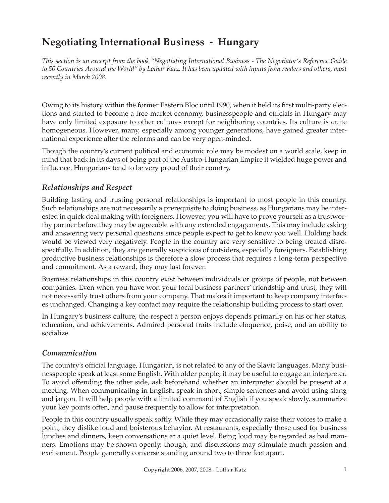# **Negotiating International Business - Hungary**

*This section is an excerpt from the book "Negotiating International Business - The Negotiator's Reference Guide to 50 Countries Around the World" by Lothar Katz. It has been updated with inputs from readers and others, most recently in March 2008.*

Owing to its history within the former Eastern Bloc until 1990, when it held its first multi-party elections and started to become a free-market economy, businesspeople and officials in Hungary may have only limited exposure to other cultures except for neighboring countries. Its culture is quite homogeneous. However, many, especially among younger generations, have gained greater international experience after the reforms and can be very open-minded.

Though the country's current political and economic role may be modest on a world scale, keep in mind that back in its days of being part of the Austro-Hungarian Empire it wielded huge power and influence. Hungarians tend to be very proud of their country.

## *Relationships and Respect*

Building lasting and trusting personal relationships is important to most people in this country. Such relationships are not necessarily a prerequisite to doing business, as Hungarians may be interested in quick deal making with foreigners. However, you will have to prove yourself as a trustworthy partner before they may be agreeable with any extended engagements. This may include asking and answering very personal questions since people expect to get to know you well. Holding back would be viewed very negatively. People in the country are very sensitive to being treated disrespectfully. In addition, they are generally suspicious of outsiders, especially foreigners. Establishing productive business relationships is therefore a slow process that requires a long-term perspective and commitment. As a reward, they may last forever.

Business relationships in this country exist between individuals or groups of people, not between companies. Even when you have won your local business partners' friendship and trust, they will not necessarily trust others from your company. That makes it important to keep company interfaces unchanged. Changing a key contact may require the relationship building process to start over.

In Hungary's business culture, the respect a person enjoys depends primarily on his or her status, education, and achievements. Admired personal traits include eloquence, poise, and an ability to socialize.

#### *Communication*

The country's official language, Hungarian, is not related to any of the Slavic languages. Many businesspeople speak at least some English. With older people, it may be useful to engage an interpreter. To avoid offending the other side, ask beforehand whether an interpreter should be present at a meeting. When communicating in English, speak in short, simple sentences and avoid using slang and jargon. It will help people with a limited command of English if you speak slowly, summarize your key points often, and pause frequently to allow for interpretation.

People in this country usually speak softly. While they may occasionally raise their voices to make a point, they dislike loud and boisterous behavior. At restaurants, especially those used for business lunches and dinners, keep conversations at a quiet level. Being loud may be regarded as bad manners. Emotions may be shown openly, though, and discussions may stimulate much passion and excitement. People generally converse standing around two to three feet apart.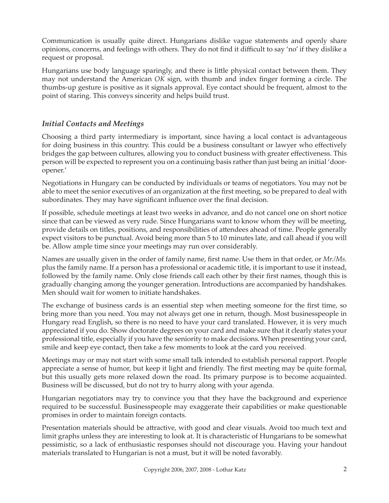Communication is usually quite direct. Hungarians dislike vague statements and openly share opinions, concerns, and feelings with others. They do not find it difficult to say 'no' if they dislike a request or proposal.

Hungarians use body language sparingly, and there is little physical contact between them. They may not understand the American *OK* sign, with thumb and index finger forming a circle. The thumbs-up gesture is positive as it signals approval. Eye contact should be frequent, almost to the point of staring. This conveys sincerity and helps build trust.

# *Initial Contacts and Meetings*

Choosing a third party intermediary is important, since having a local contact is advantageous for doing business in this country. This could be a business consultant or lawyer who effectively bridges the gap between cultures, allowing you to conduct business with greater effectiveness. This person will be expected to represent you on a continuing basis rather than just being an initial 'dooropener.'

Negotiations in Hungary can be conducted by individuals or teams of negotiators. You may not be able to meet the senior executives of an organization at the first meeting, so be prepared to deal with subordinates. They may have significant influence over the final decision.

If possible, schedule meetings at least two weeks in advance, and do not cancel one on short notice since that can be viewed as very rude. Since Hungarians want to know whom they will be meeting, provide details on titles, positions, and responsibilities of attendees ahead of time. People generally expect visitors to be punctual. Avoid being more than 5 to 10 minutes late, and call ahead if you will be. Allow ample time since your meetings may run over considerably.

Names are usually given in the order of family name, first name. Use them in that order, or *Mr./Ms.* plus the family name. If a person has a professional or academic title, it is important to use it instead, followed by the family name. Only close friends call each other by their first names, though this is gradually changing among the younger generation. Introductions are accompanied by handshakes. Men should wait for women to initiate handshakes.

The exchange of business cards is an essential step when meeting someone for the first time, so bring more than you need. You may not always get one in return, though. Most businesspeople in Hungary read English, so there is no need to have your card translated. However, it is very much appreciated if you do. Show doctorate degrees on your card and make sure that it clearly states your professional title, especially if you have the seniority to make decisions. When presenting your card, smile and keep eye contact, then take a few moments to look at the card you received.

Meetings may or may not start with some small talk intended to establish personal rapport. People appreciate a sense of humor, but keep it light and friendly. The first meeting may be quite formal, but this usually gets more relaxed down the road. Its primary purpose is to become acquainted. Business will be discussed, but do not try to hurry along with your agenda.

Hungarian negotiators may try to convince you that they have the background and experience required to be successful. Businesspeople may exaggerate their capabilities or make questionable promises in order to maintain foreign contacts.

Presentation materials should be attractive, with good and clear visuals. Avoid too much text and limit graphs unless they are interesting to look at. It is characteristic of Hungarians to be somewhat pessimistic, so a lack of enthusiastic responses should not discourage you. Having your handout materials translated to Hungarian is not a must, but it will be noted favorably.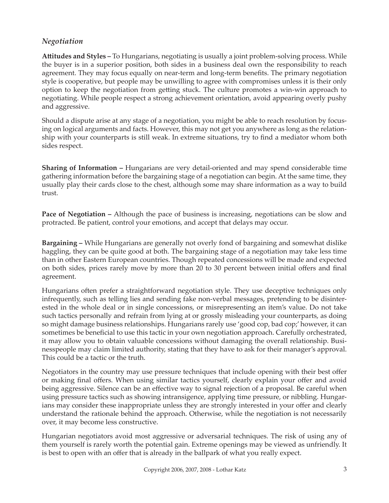## *Negotiation*

**Att itudes and Styles –** To Hungarians, negotiating is usually a joint problem-solving process. While the buyer is in a superior position, both sides in a business deal own the responsibility to reach agreement. They may focus equally on near-term and long-term benefits. The primary negotiation style is cooperative, but people may be unwilling to agree with compromises unless it is their only option to keep the negotiation from getting stuck. The culture promotes a win-win approach to negotiating. While people respect a strong achievement orientation, avoid appearing overly pushy and aggressive.

Should a dispute arise at any stage of a negotiation, you might be able to reach resolution by focusing on logical arguments and facts. However, this may not get you anywhere as long as the relationship with your counterparts is still weak. In extreme situations, try to find a mediator whom both sides respect.

**Sharing of Information –** Hungarians are very detail-oriented and may spend considerable time gathering information before the bargaining stage of a negotiation can begin. At the same time, they usually play their cards close to the chest, although some may share information as a way to build trust.

**Pace of Negotiation –** Although the pace of business is increasing, negotiations can be slow and protracted. Be patient, control your emotions, and accept that delays may occur.

**Bargaining –** While Hungarians are generally not overly fond of bargaining and somewhat dislike haggling, they can be quite good at both. The bargaining stage of a negotiation may take less time than in other Eastern European countries. Though repeated concessions will be made and expected on both sides, prices rarely move by more than 20 to 30 percent between initial offers and final agreement.

Hungarians often prefer a straightforward negotiation style. They use deceptive techniques only infrequently, such as telling lies and sending fake non-verbal messages, pretending to be disinterested in the whole deal or in single concessions, or misrepresenting an item's value. Do not take such tactics personally and refrain from lying at or grossly misleading your counterparts, as doing so might damage business relationships. Hungarians rarely use 'good cop, bad cop;' however, it can sometimes be beneficial to use this tactic in your own negotiation approach. Carefully orchestrated, it may allow you to obtain valuable concessions without damaging the overall relationship. Businesspeople may claim limited authority, stating that they have to ask for their manager's approval. This could be a tactic or the truth.

Negotiators in the country may use pressure techniques that include opening with their best offer or making final offers. When using similar tactics yourself, clearly explain your offer and avoid being aggressive. Silence can be an effective way to signal rejection of a proposal. Be careful when using pressure tactics such as showing intransigence, applying time pressure, or nibbling. Hungarians may consider these inappropriate unless they are strongly interested in your offer and clearly understand the rationale behind the approach. Otherwise, while the negotiation is not necessarily over, it may become less constructive.

Hungarian negotiators avoid most aggressive or adversarial techniques. The risk of using any of them yourself is rarely worth the potential gain. Extreme openings may be viewed as unfriendly. It is best to open with an offer that is already in the ballpark of what you really expect.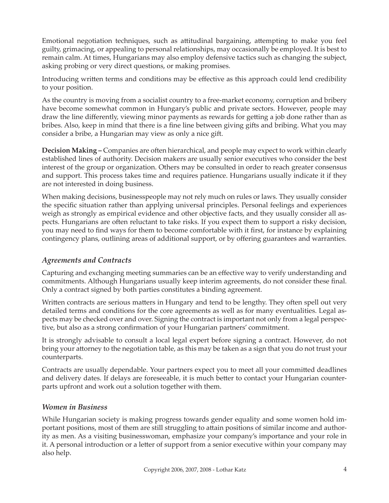Emotional negotiation techniques, such as attitudinal bargaining, attempting to make you feel guilty, grimacing, or appealing to personal relationships, may occasionally be employed. It is best to remain calm. At times, Hungarians may also employ defensive tactics such as changing the subject, asking probing or very direct questions, or making promises.

Introducing written terms and conditions may be effective as this approach could lend credibility to your position.

As the country is moving from a socialist country to a free-market economy, corruption and bribery have become somewhat common in Hungary's public and private sectors. However, people may draw the line differently, viewing minor payments as rewards for getting a job done rather than as bribes. Also, keep in mind that there is a fine line between giving gifts and bribing. What you may consider a bribe, a Hungarian may view as only a nice gift.

**Decision Making –** Companies are often hierarchical, and people may expect to work within clearly established lines of authority. Decision makers are usually senior executives who consider the best interest of the group or organization. Others may be consulted in order to reach greater consensus and support. This process takes time and requires patience. Hungarians usually indicate it if they are not interested in doing business.

When making decisions, businesspeople may not rely much on rules or laws. They usually consider the specific situation rather than applying universal principles. Personal feelings and experiences weigh as strongly as empirical evidence and other objective facts, and they usually consider all aspects. Hungarians are often reluctant to take risks. If you expect them to support a risky decision, you may need to find ways for them to become comfortable with it first, for instance by explaining contingency plans, outlining areas of additional support, or by offering guarantees and warranties.

# *Agreements and Contracts*

Capturing and exchanging meeting summaries can be an effective way to verify understanding and commitments. Although Hungarians usually keep interim agreements, do not consider these final. Only a contract signed by both parties constitutes a binding agreement.

Written contracts are serious matters in Hungary and tend to be lengthy. They often spell out very detailed terms and conditions for the core agreements as well as for many eventualities. Legal aspects may be checked over and over. Signing the contract is important not only from a legal perspective, but also as a strong confirmation of your Hungarian partners' commitment.

It is strongly advisable to consult a local legal expert before signing a contract. However, do not bring your attorney to the negotiation table, as this may be taken as a sign that you do not trust your counterparts.

Contracts are usually dependable. Your partners expect you to meet all your committed deadlines and delivery dates. If delays are foreseeable, it is much better to contact your Hungarian counterparts upfront and work out a solution together with them.

#### *Women in Business*

While Hungarian society is making progress towards gender equality and some women hold important positions, most of them are still struggling to attain positions of similar income and authority as men. As a visiting businesswoman, emphasize your company's importance and your role in it. A personal introduction or a letter of support from a senior executive within your company may also help.